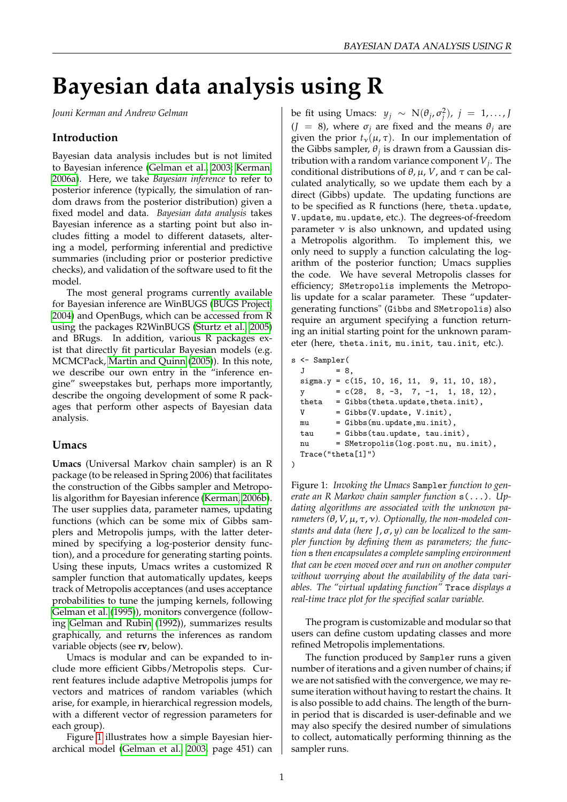# **Bayesian data analysis using R**

*Jouni Kerman and Andrew Gelman*

#### **Introduction**

Bayesian data analysis includes but is not limited to Bayesian inference [\(Gelman et al., 2003;](#page-2-0) [Kerman,](#page-2-1) [2006a\)](#page-2-1). Here, we take *Bayesian inference* to refer to posterior inference (typically, the simulation of random draws from the posterior distribution) given a fixed model and data. *Bayesian data analysis* takes Bayesian inference as a starting point but also includes fitting a model to different datasets, altering a model, performing inferential and predictive summaries (including prior or posterior predictive checks), and validation of the software used to fit the model.

The most general programs currently available for Bayesian inference are WinBUGS [\(BUGS Project,](#page-2-2) [2004\)](#page-2-2) and OpenBugs, which can be accessed from R using the packages R2WinBUGS [\(Sturtz et al., 2005\)](#page-2-3) and BRugs. In addition, various R packages exist that directly fit particular Bayesian models (e.g. MCMCPack, [Martin and Quinn](#page-2-4) [\(2005\)](#page-2-4)). In this note, we describe our own entry in the "inference engine" sweepstakes but, perhaps more importantly, describe the ongoing development of some R packages that perform other aspects of Bayesian data analysis.

#### **Umacs**

**Umacs** (Universal Markov chain sampler) is an R package (to be released in Spring 2006) that facilitates the construction of the Gibbs sampler and Metropolis algorithm for Bayesian inference [\(Kerman, 2006b\)](#page-2-5). The user supplies data, parameter names, updating functions (which can be some mix of Gibbs samplers and Metropolis jumps, with the latter determined by specifying a log-posterior density function), and a procedure for generating starting points. Using these inputs, Umacs writes a customized R sampler function that automatically updates, keeps track of Metropolis acceptances (and uses acceptance probabilities to tune the jumping kernels, following [Gelman et al.](#page-2-6) [\(1995\)](#page-2-6)), monitors convergence (following [Gelman and Rubin](#page-2-7) [\(1992\)](#page-2-7)), summarizes results graphically, and returns the inferences as random variable objects (see **rv**, below).

Umacs is modular and can be expanded to include more efficient Gibbs/Metropolis steps. Current features include adaptive Metropolis jumps for vectors and matrices of random variables (which arise, for example, in hierarchical regression models, with a different vector of regression parameters for each group).

Figure [1](#page-0-0) illustrates how a simple Bayesian hierarchical model [\(Gelman et al., 2003,](#page-2-0) page 451) can

be fit using Umacs:  $y_j \sim N(\theta_j, \sigma_j^2)$ ,  $j = 1, ..., J$  $(J = 8)$ , where  $\sigma_i$  are fixed and the means  $\theta_i$  are given the prior  $t_{\nu}(\mu, \tau)$ . In our implementation of the Gibbs sampler,  $\theta_j$  is drawn from a Gaussian distribution with a random variance component *V<sup>j</sup>* . The conditional distributions of  $\theta$ ,  $\mu$ , *V*, and  $\tau$  can be calculated analytically, so we update them each by a direct (Gibbs) update. The updating functions are to be specified as R functions (here, theta.update, V.update, mu.update, etc.). The degrees-of-freedom parameter  $\nu$  is also unknown, and updated using a Metropolis algorithm. To implement this, we only need to supply a function calculating the logarithm of the posterior function; Umacs supplies the code. We have several Metropolis classes for efficiency; SMetropolis implements the Metropolis update for a scalar parameter. These "updatergenerating functions" (Gibbs and SMetropolis) also require an argument specifying a function returning an initial starting point for the unknown parameter (here, theta.init, mu.init, tau.init, etc.).

```
s <- Sampler(
 J = 8,signa.y = c(15, 10, 16, 11, 9, 11, 10, 18),
 y = c(28, 8, -3, 7, -1, 1, 18, 12),theta = Gibbs(theta.update,theta.init),
 V = Gibbs(V.update, Vinit),mu = Gibbs(mu.update,mu.init),
 tau = Gibbs(tau.update, tau.init),
 nu = SMetropolis(log.post.nu, nu.init),
 Trace("theta[1]")
\lambda
```
<span id="page-0-0"></span>Figure 1: *Invoking the Umacs* Sampler *function to generate an R Markov chain sampler function* s(...)*. Updating algorithms are associated with the unknown parameters (*θ, *V*, µ, τ, ν*). Optionally, the non-modeled constants and data (here J*,σ, *y) can be localized to the sampler function by defining them as parameters; the function* s *then encapsulates a complete sampling environment that can be even moved over and run on another computer without worrying about the availability of the data variables. The "virtual updating function"* Trace *displays a real-time trace plot for the specified scalar variable.*

The program is customizable and modular so that users can define custom updating classes and more refined Metropolis implementations.

The function produced by Sampler runs a given number of iterations and a given number of chains; if we are not satisfied with the convergence, we may resume iteration without having to restart the chains. It is also possible to add chains. The length of the burnin period that is discarded is user-definable and we may also specify the desired number of simulations to collect, automatically performing thinning as the sampler runs.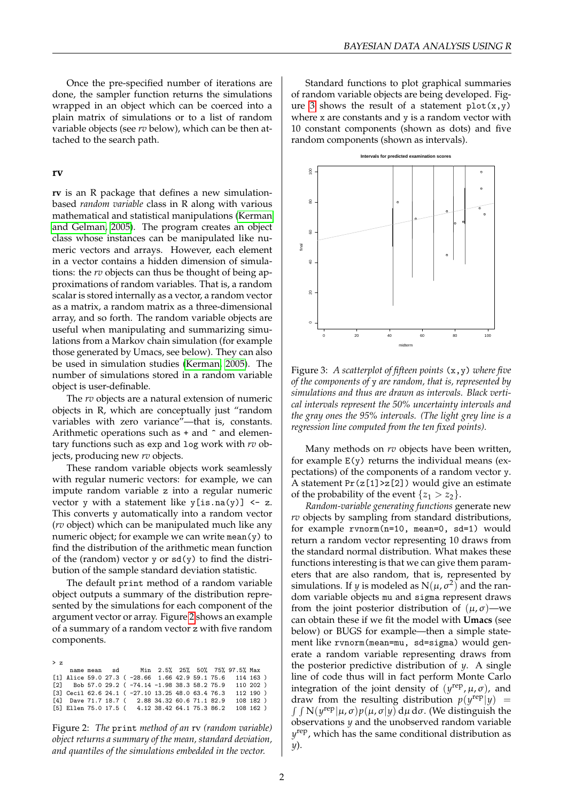Once the pre-specified number of iterations are done, the sampler function returns the simulations wrapped in an object which can be coerced into a plain matrix of simulations or to a list of random variable objects (see *rv* below), which can be then attached to the search path.

#### **rv**

**rv** is an R package that defines a new simulationbased *random variable* class in R along with various mathematical and statistical manipulations [\(Kerman](#page-2-8) [and Gelman, 2005\)](#page-2-8). The program creates an object class whose instances can be manipulated like numeric vectors and arrays. However, each element in a vector contains a hidden dimension of simulations: the *rv* objects can thus be thought of being approximations of random variables. That is, a random scalar is stored internally as a vector, a random vector as a matrix, a random matrix as a three-dimensional array, and so forth. The random variable objects are useful when manipulating and summarizing simulations from a Markov chain simulation (for example those generated by Umacs, see below). They can also be used in simulation studies [\(Kerman, 2005\)](#page-2-9). The number of simulations stored in a random variable object is user-definable.

The *rv* objects are a natural extension of numeric objects in R, which are conceptually just "random variables with zero variance"—that is, constants. Arithmetic operations such as  $+$  and  $\hat{ }$  and elementary functions such as exp and log work with *rv* objects, producing new *rv* objects.

These random variable objects work seamlessly with regular numeric vectors: for example, we can impute random variable z into a regular numeric vector y with a statement like  $y[i s.na(y)] \leftarrow z$ . This converts y automatically into a random vector (*rv* object) which can be manipulated much like any numeric object; for example we can write mean(y) to find the distribution of the arithmetic mean function of the (random) vector  $y$  or  $sd(y)$  to find the distribution of the sample standard deviation statistic.

The default print method of a random variable object outputs a summary of the distribution represented by the simulations for each component of the argument vector or array. Figure [2](#page-1-0) shows an example of a summary of a random vector z with five random components.

| > z |  |  |                                                                |  |  |           |  |
|-----|--|--|----------------------------------------------------------------|--|--|-----------|--|
|     |  |  |                                                                |  |  |           |  |
|     |  |  | [1] Alice 59.0 27.3 ( -28.66 1.66 42.9 59.1 75.6 114 163 )     |  |  |           |  |
|     |  |  | $[2]$ Bob 57.0 29.2 ( $-74.14$ $-1.98$ 38.3 58.2 75.9 110 202) |  |  |           |  |
|     |  |  | [3] Cecil 62.6 24.1 ( -27.10 13.25 48.0 63.4 76.3              |  |  | 112 190 ) |  |
|     |  |  | [4] Dave 71.7 18.7 ( 2.88 34.32 60.6 71.1 82.9 108 182 )       |  |  |           |  |
|     |  |  | [5] Ellen 75.0 17.5 ( 4.12 38.42 64.1 75.3 86.2 108 162 )      |  |  |           |  |

<span id="page-1-0"></span>Figure 2: *The* print *method of an* rv *(random variable) object returns a summary of the mean, standard deviation, and quantiles of the simulations embedded in the vector.*

Standard functions to plot graphical summaries of random variable objects are being developed. Fig-ure [3](#page-1-1) shows the result of a statement  $plot(x,y)$ where  $x$  are constants and  $y$  is a random vector with 10 constant components (shown as dots) and five random components (shown as intervals).



<span id="page-1-1"></span>Figure 3: *A scatterplot of fifteen points* (x,y) *where five of the components of* y *are random, that is, represented by simulations and thus are drawn as intervals. Black vertical intervals represent the 50% uncertainty intervals and the gray ones the 95% intervals. (The light grey line is a regression line computed from the ten fixed points).*

Many methods on *rv* objects have been written, for example  $E(y)$  returns the individual means (expectations) of the components of a random vector y. A statement  $Pr(z[1] > z[2])$  would give an estimate of the probability of the event  $\{z_1 > z_2\}$ .

*Random-variable generating functions* generate new *rv* objects by sampling from standard distributions, for example rvnorm(n=10, mean=0, sd=1) would return a random vector representing 10 draws from the standard normal distribution. What makes these functions interesting is that we can give them parameters that are also random, that is, represented by simulations. If *y* is modeled as  $N(\mu, \sigma^2)$  and the random variable objects mu and sigma represent draws from the joint posterior distribution of  $(\mu, \sigma)$ —we can obtain these if we fit the model with **Umacs** (see below) or BUGS for example—then a simple statement like rvnorm(mean=mu, sd=sigma) would generate a random variable representing draws from the posterior predictive distribution of *y*. A single line of code thus will in fact perform Monte Carlo integration of the joint density of  $(y^{\text{rep}}, \mu, \sigma)$ , and draw from the resulting distribution  $p(y^{\text{rep}}|y)$  =  $\int \int N(y^{rep}|\mu,\sigma)p(\mu,\sigma|y) d\mu d\sigma$ . (We distinguish the observations *y* and the unobserved random variable *y* rep, which has the same conditional distribution as *y*).